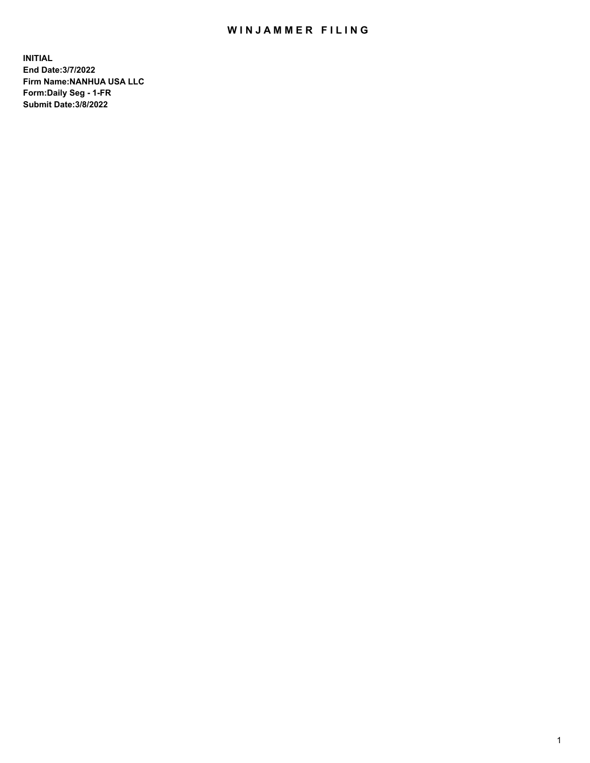# WIN JAMMER FILING

**INITIAL End Date:3/7/2022 Firm Name:NANHUA USA LLC Form:Daily Seg - 1-FR Submit Date:3/8/2022**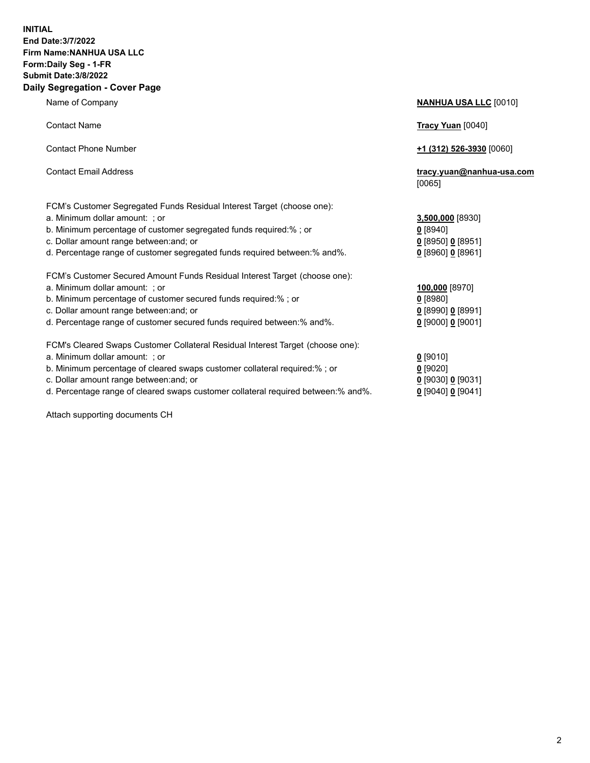### **INITIAL End Date:3/7/2022 Firm Name:NANHUA USA LLC Form:Daily Seg - 1-FR Submit Date:3/8/2022 Daily Segregation - Cover Page**

Name of Company **NANHUA USA LLC** [0010] Contact Name **Tracy Yuan** [0040] Contact Phone Number **+1 (312) 526-3930** [0060] Contact Email Address **tracy.yuan@nanhua-usa.com** [0065] FCM's Customer Segregated Funds Residual Interest Target (choose one): a. Minimum dollar amount: ; or **3,500,000** [8930] b. Minimum percentage of customer segregated funds required:% ; or **0** [8940] c. Dollar amount range between:and; or **0** [8950] **0** [8951] d. Percentage range of customer segregated funds required between:% and%. **0** [8960] **0** [8961] FCM's Customer Secured Amount Funds Residual Interest Target (choose one): a. Minimum dollar amount: ; or **100,000** [8970] b. Minimum percentage of customer secured funds required:% ; or **0** [8980] c. Dollar amount range between:and; or **0** [8990] **0** [8991] d. Percentage range of customer secured funds required between:% and%. **0** [9000] **0** [9001] FCM's Cleared Swaps Customer Collateral Residual Interest Target (choose one): a. Minimum dollar amount: ; or **0** [9010] b. Minimum percentage of cleared swaps customer collateral required:% ; or **0** [9020] c. Dollar amount range between:and; or **0** [9030] **0** [9031]

d. Percentage range of cleared swaps customer collateral required between:% and%. **0** [9040] **0** [9041]

Attach supporting documents CH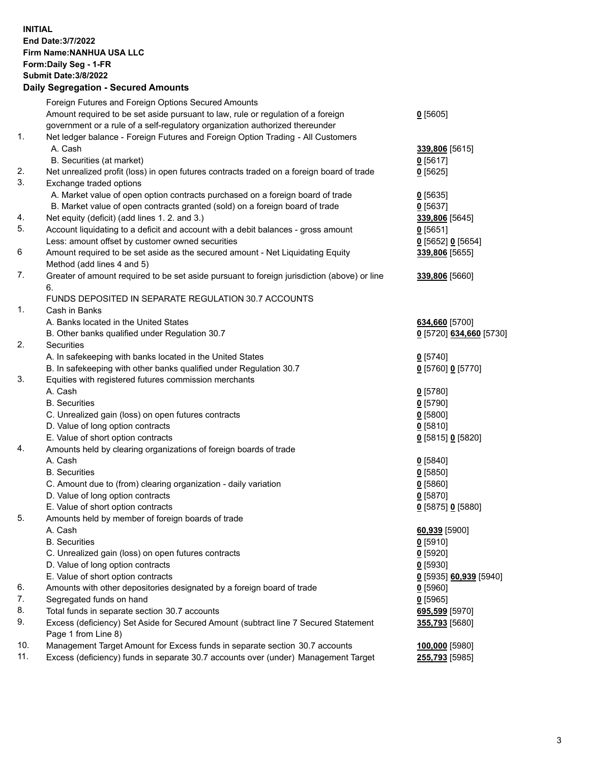### **INITIAL End Date:3/7/2022 Firm Name:NANHUA USA LLC Form:Daily Seg - 1-FR Submit Date:3/8/2022 Daily Segregation - Secured Amounts**

|     | Foreign Futures and Foreign Options Secured Amounts                                                        |                         |
|-----|------------------------------------------------------------------------------------------------------------|-------------------------|
|     | Amount required to be set aside pursuant to law, rule or regulation of a foreign                           | $0$ [5605]              |
|     | government or a rule of a self-regulatory organization authorized thereunder                               |                         |
| 1.  | Net ledger balance - Foreign Futures and Foreign Option Trading - All Customers                            |                         |
|     | A. Cash                                                                                                    | 339,806 [5615]          |
|     | B. Securities (at market)                                                                                  | $0$ [5617]              |
| 2.  | Net unrealized profit (loss) in open futures contracts traded on a foreign board of trade                  | $0$ [5625]              |
| 3.  | Exchange traded options                                                                                    |                         |
|     | A. Market value of open option contracts purchased on a foreign board of trade                             | $0$ [5635]              |
|     | B. Market value of open contracts granted (sold) on a foreign board of trade                               | $0$ [5637]              |
| 4.  | Net equity (deficit) (add lines 1. 2. and 3.)                                                              | 339,806 [5645]          |
| 5.  | Account liquidating to a deficit and account with a debit balances - gross amount                          | $0$ [5651]              |
|     | Less: amount offset by customer owned securities                                                           | $0$ [5652] $0$ [5654]   |
| 6   | Amount required to be set aside as the secured amount - Net Liquidating Equity                             | 339,806 [5655]          |
|     | Method (add lines 4 and 5)                                                                                 |                         |
| 7.  | Greater of amount required to be set aside pursuant to foreign jurisdiction (above) or line                | 339,806 [5660]          |
|     | 6.                                                                                                         |                         |
|     | FUNDS DEPOSITED IN SEPARATE REGULATION 30.7 ACCOUNTS                                                       |                         |
| 1.  | Cash in Banks                                                                                              |                         |
|     | A. Banks located in the United States                                                                      | 634,660 [5700]          |
|     | B. Other banks qualified under Regulation 30.7                                                             | 0 [5720] 634,660 [5730] |
| 2.  | <b>Securities</b>                                                                                          |                         |
|     | A. In safekeeping with banks located in the United States                                                  | $0$ [5740]              |
|     | B. In safekeeping with other banks qualified under Regulation 30.7                                         | $0$ [5760] $0$ [5770]   |
| 3.  | Equities with registered futures commission merchants                                                      |                         |
|     | A. Cash                                                                                                    | $0$ [5780]              |
|     | <b>B.</b> Securities                                                                                       | $0$ [5790]              |
|     | C. Unrealized gain (loss) on open futures contracts                                                        | $0$ [5800]              |
|     | D. Value of long option contracts                                                                          | $0$ [5810]              |
|     | E. Value of short option contracts                                                                         | 0 [5815] 0 [5820]       |
| 4.  | Amounts held by clearing organizations of foreign boards of trade                                          |                         |
|     | A. Cash                                                                                                    | $Q$ [5840]              |
|     | <b>B.</b> Securities                                                                                       | $0$ [5850]              |
|     | C. Amount due to (from) clearing organization - daily variation                                            | $0$ [5860]              |
|     | D. Value of long option contracts                                                                          | $0$ [5870]              |
|     | E. Value of short option contracts                                                                         | 0 [5875] 0 [5880]       |
| 5.  | Amounts held by member of foreign boards of trade                                                          |                         |
|     | A. Cash                                                                                                    | 60,939 [5900]           |
|     | <b>B.</b> Securities                                                                                       | $0$ [5910]              |
|     | C. Unrealized gain (loss) on open futures contracts                                                        | $0$ [5920]              |
|     | D. Value of long option contracts                                                                          | $0$ [5930]              |
|     | E. Value of short option contracts                                                                         | 0 [5935] 60,939 [5940]  |
| 6.  | Amounts with other depositories designated by a foreign board of trade                                     | $0$ [5960]              |
| 7.  | Segregated funds on hand                                                                                   | $0$ [5965]              |
| 8.  | Total funds in separate section 30.7 accounts                                                              | 695,599 [5970]          |
| 9.  | Excess (deficiency) Set Aside for Secured Amount (subtract line 7 Secured Statement<br>Page 1 from Line 8) | 355,793 [5680]          |
| 10. | Management Target Amount for Excess funds in separate section 30.7 accounts                                | 100,000 [5980]          |
| 11. | Excess (deficiency) funds in separate 30.7 accounts over (under) Management Target                         | 255,793 [5985]          |
|     |                                                                                                            |                         |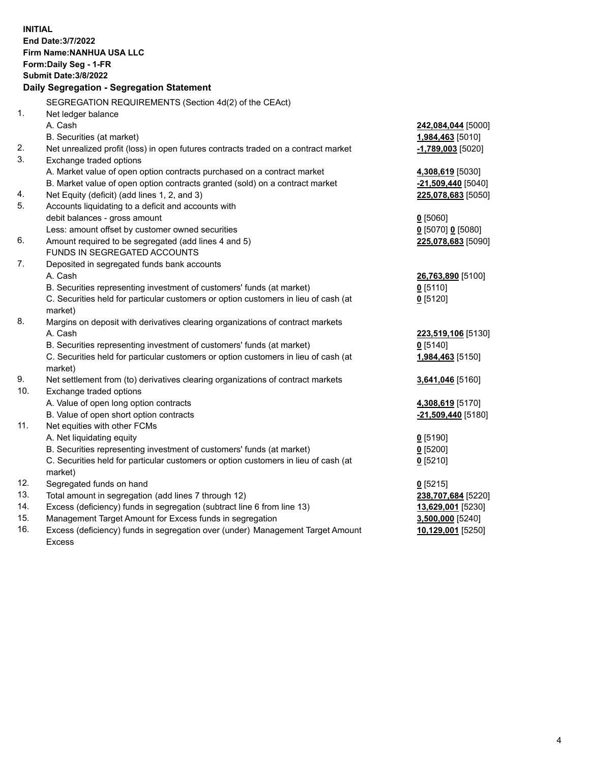| <b>INITIAL</b> | End Date: 3/7/2022<br>Firm Name: NANHUA USA LLC<br>Form: Daily Seg - 1-FR<br><b>Submit Date: 3/8/2022</b><br>Daily Segregation - Segregation Statement |                                          |
|----------------|--------------------------------------------------------------------------------------------------------------------------------------------------------|------------------------------------------|
|                |                                                                                                                                                        |                                          |
| 1.             | SEGREGATION REQUIREMENTS (Section 4d(2) of the CEAct)<br>Net ledger balance                                                                            |                                          |
|                | A. Cash                                                                                                                                                | 242,084,044 [5000]                       |
|                | B. Securities (at market)                                                                                                                              | 1,984,463 [5010]                         |
| 2.             | Net unrealized profit (loss) in open futures contracts traded on a contract market                                                                     | $-1,789,003$ [5020]                      |
| 3.             | Exchange traded options                                                                                                                                |                                          |
|                | A. Market value of open option contracts purchased on a contract market                                                                                |                                          |
|                | B. Market value of open option contracts granted (sold) on a contract market                                                                           | 4,308,619 [5030]<br>$-21,509,440$ [5040] |
| 4.             | Net Equity (deficit) (add lines 1, 2, and 3)                                                                                                           | 225,078,683 [5050]                       |
| 5.             | Accounts liquidating to a deficit and accounts with                                                                                                    |                                          |
|                | debit balances - gross amount                                                                                                                          | $0$ [5060]                               |
|                | Less: amount offset by customer owned securities                                                                                                       | $0$ [5070] 0 [5080]                      |
| 6.             | Amount required to be segregated (add lines 4 and 5)                                                                                                   | 225,078,683 [5090]                       |
|                | FUNDS IN SEGREGATED ACCOUNTS                                                                                                                           |                                          |
| 7.             | Deposited in segregated funds bank accounts                                                                                                            |                                          |
|                | A. Cash                                                                                                                                                | 26,763,890 [5100]                        |
|                | B. Securities representing investment of customers' funds (at market)                                                                                  | $0$ [5110]                               |
|                | C. Securities held for particular customers or option customers in lieu of cash (at                                                                    | $0$ [5120]                               |
|                | market)                                                                                                                                                |                                          |
| 8.             | Margins on deposit with derivatives clearing organizations of contract markets                                                                         |                                          |
|                | A. Cash                                                                                                                                                | 223,519,106 [5130]                       |
|                | B. Securities representing investment of customers' funds (at market)                                                                                  | $0$ [5140]                               |
|                | C. Securities held for particular customers or option customers in lieu of cash (at                                                                    | 1,984,463 [5150]                         |
|                | market)                                                                                                                                                |                                          |
| 9.             | Net settlement from (to) derivatives clearing organizations of contract markets                                                                        | 3,641,046 [5160]                         |
| 10.            | Exchange traded options                                                                                                                                |                                          |
|                | A. Value of open long option contracts                                                                                                                 | 4,308,619 [5170]                         |
|                | B. Value of open short option contracts                                                                                                                | -21,509,440 [5180]                       |
| 11.            | Net equities with other FCMs                                                                                                                           |                                          |
|                | A. Net liquidating equity                                                                                                                              | $0$ [5190]                               |
|                | B. Securities representing investment of customers' funds (at market)                                                                                  | $Q$ [5200]                               |
|                | C. Securities held for particular customers or option customers in lieu of cash (at                                                                    | $0$ [5210]                               |
|                | market)                                                                                                                                                |                                          |
| 12.            | Segregated funds on hand                                                                                                                               | $0$ [5215]                               |
| 13.            | Total amount in segregation (add lines 7 through 12)                                                                                                   | 238,707,684 [5220]                       |
| 14.            | Excess (deficiency) funds in segregation (subtract line 6 from line 13)                                                                                | 13,629,001 [5230]                        |
| 15.            | Management Target Amount for Excess funds in segregation                                                                                               | 3,500,000 [5240]                         |
| 16.            | Excess (deficiency) funds in segregation over (under) Management Target Amount                                                                         | 10,129,001 [5250]                        |
|                | <b>Excess</b>                                                                                                                                          |                                          |